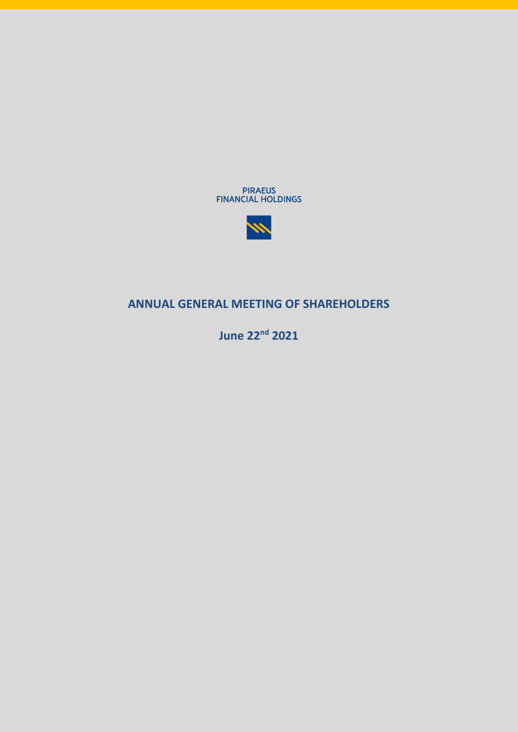



# **ANNUAL GENERAL MEETING OF SHAREHOLDERS**

**June 22nd 2021**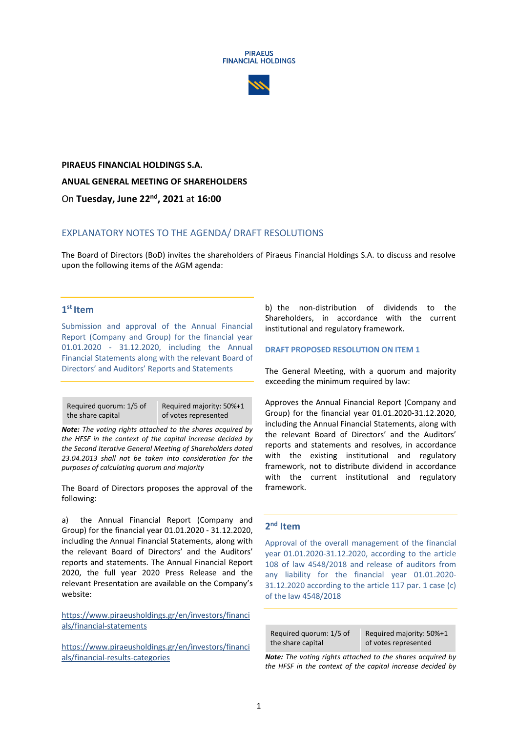



# **PIRAEUS FINANCIAL HOLDINGS S.A. ANUAL GENERAL MEETING OF SHAREHOLDERS** On **Tuesday, June 22nd, 2021** at **16:00**

# EXPLANATORY NOTES TO THE AGENDA/ DRAFT RESOLUTIONS

The Board of Directors (BoD) invites the shareholders of Piraeus Financial Holdings S.A. to discuss and resolve upon the following items of the AGM agenda:

# **1 st Item**

Submission and approval of the Annual Financial Report (Company and Group) for the financial year 01.01.2020 - 31.12.2020, including the Annual Financial Statements along with the relevant Board of Directors' and Auditors' Reports and Statements

| Required guorum: 1/5 of | Required majority: 50%+1 |
|-------------------------|--------------------------|
| the share capital       | of votes represented     |

*Note: The voting rights attached to the shares acquired by the HFSF in the context of the capital increase decided by the Second Iterative General Meeting of Shareholders dated 23.04.2013 shall not be taken into consideration for the purposes of calculating quorum and majority*

The Board of Directors proposes the approval of the following:

a) the Annual Financial Report (Company and Group) for the financial year 01.01.2020 - 31.12.2020, including the Annual Financial Statements, along with the relevant Board of Directors' and the Auditors' reports and statements. The Annual Financial Report 2020, the full year 2020 Press Release and the relevant Presentation are available on the Company's website:

[https://www.piraeusholdings.gr/en/investors/financi](https://www.piraeusholdings.gr/en/investors/financials/financial-statements) [als/financial-statements](https://www.piraeusholdings.gr/en/investors/financials/financial-statements)

[https://www.piraeusholdings.gr/en/investors/financi](https://www.piraeusholdings.gr/en/investors/financials/financial-results-categories) [als/financial-results-categories](https://www.piraeusholdings.gr/en/investors/financials/financial-results-categories)

b) the non-distribution of dividends to the Shareholders, in accordance with the current institutional and regulatory framework.

### **DRAFT PROPOSED RESOLUTION ON ITEM 1**

The General Meeting, with a quorum and majority exceeding the minimum required by law:

Approves the Annual Financial Report (Company and Group) for the financial year 01.01.2020-31.12.2020, including the Annual Financial Statements, along with the relevant Board of Directors' and the Auditors' reports and statements and resolves, in accordance with the existing institutional and regulatory framework, not to distribute dividend in accordance with the current institutional and regulatory framework.

# **2 nd Item**

Approval of the overall management of the financial year 01.01.2020-31.12.2020, according to the article 108 of law 4548/2018 and release of auditors from any liability for the financial year 01.01.2020- 31.12.2020 according to the article 117 par. 1 case (c) of the law 4548/2018

Required quorum: 1/5 of the share capital Required majority: 50%+1 of votes represented

*Note: The voting rights attached to the shares acquired by the HFSF in the context of the capital increase decided by*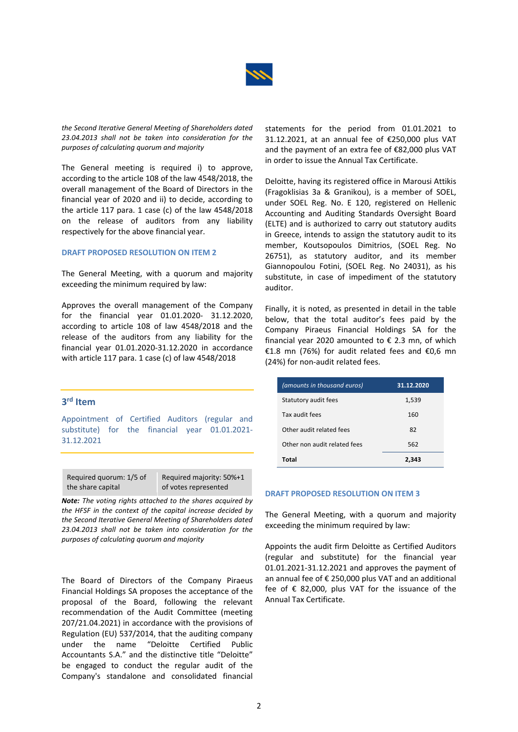

*the Second Iterative General Meeting of Shareholders dated 23.04.2013 shall not be taken into consideration for the purposes of calculating quorum and majority*

The General meeting is required i) to approve, according to the article 108 of the law 4548/2018, the overall management of the Board of Directors in the financial year of 2020 and ii) to decide, according to the article 117 para. 1 case (c) of the law 4548/2018 on the release of auditors from any liability respectively for the above financial year.

### **DRAFT PROPOSED RESOLUTION ON ITEM 2**

The General Meeting, with a quorum and majority exceeding the minimum required by law:

Approves the overall management of the Company for the financial year 01.01.2020- 31.12.2020, according to article 108 of law 4548/2018 and the release of the auditors from any liability for the financial year 01.01.2020-31.12.2020 in accordance with article 117 para. 1 case (c) of law 4548/2018

# **3 rd Item**

Appointment of Certified Auditors (regular and substitute) for the financial year 01.01.2021- 31.12.2021

| Required quorum: 1/5 of | Required majority: 50%+1 |
|-------------------------|--------------------------|
| the share capital       | of votes represented     |

*Note: The voting rights attached to the shares acquired by the HFSF in the context of the capital increase decided by the Second Iterative General Meeting of Shareholders dated 23.04.2013 shall not be taken into consideration for the purposes of calculating quorum and majority*

The Board of Directors of the Company Piraeus Financial Holdings SA proposes the acceptance of the proposal of the Board, following the relevant recommendation of the Audit Committee (meeting 207/21.04.2021) in accordance with the provisions of Regulation (EU) 537/2014, that the auditing company under the name "Deloitte Certified Public Accountants S.A." and the distinctive title "Deloitte" be engaged to conduct the regular audit of the Company's standalone and consolidated financial

statements for the period from 01.01.2021 to 31.12.2021, at an annual fee of €250,000 plus VAT and the payment of an extra fee of €82,000 plus VAT in order to issue the Annual Tax Certificate.

Deloitte, having its registered office in Marousi Attikis (Fragoklisias 3a & Granikou), is a member of SOEL, under SOEL Reg. No. E 120, registered on Hellenic Accounting and Auditing Standards Oversight Board (ELTE) and is authorized to carry out statutory audits in Greece, intends to assign the statutory audit to its member, Koutsopoulos Dimitrios, (SOEL Reg. No 26751), as statutory auditor, and its member Giannopoulou Fotini, (SOEL Reg. No 24031), as his substitute, in case of impediment of the statutory auditor.

Finally, it is noted, as presented in detail in the table below, that the total auditor's fees paid by the Company Piraeus Financial Holdings SA for the financial year 2020 amounted to  $\epsilon$  2.3 mn, of which €1.8 mn (76%) for audit related fees and €0,6 mn (24%) for non-audit related fees.

| (amounts in thousand euros)  | 31.12.2020 |
|------------------------------|------------|
| Statutory audit fees         | 1,539      |
| Tax audit fees               | 160        |
| Other audit related fees     | 82         |
| Other non audit related fees | 562        |
| Total                        | 2.343      |

#### **DRAFT PROPOSED RESOLUTION ON ITEM 3**

The General Meeting, with a quorum and majority exceeding the minimum required by law:

Appoints the audit firm Deloitte as Certified Auditors (regular and substitute) for the financial year 01.01.2021-31.12.2021 and approves the payment of an annual fee of € 250,000 plus VAT and an additional fee of € 82,000, plus VAT for the issuance of the Annual Tax Certificate.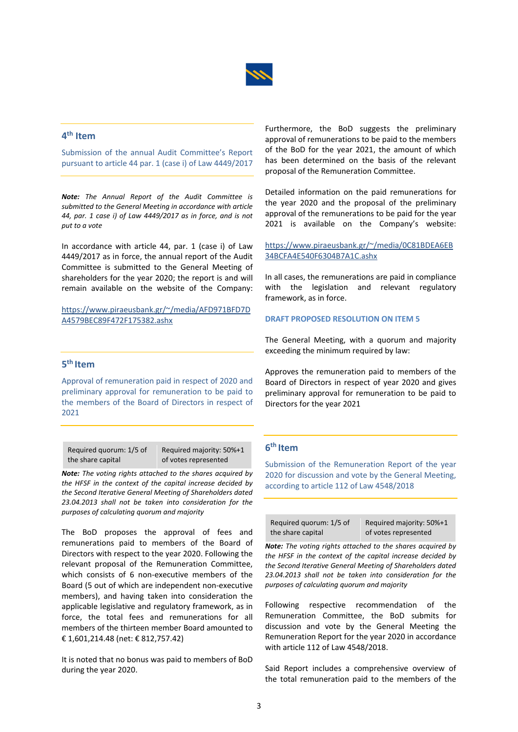

# **4 th Item**

Submission of the annual Audit Committee's Report pursuant to article 44 par. 1 (case i) of Law 4449/2017

*Note: The Annual Report of the Audit Committee is submitted to the General Meeting in accordance with article 44, par. 1 case i) of Law 4449/2017 as in force, and is not put to a vote*

In accordance with article 44, par. 1 (case i) of Law 4449/2017 as in force, the annual report of the Audit Committee is submitted to the General Meeting of shareholders for the year 2020; the report is and will remain available on the website of the Company:

[https://www.piraeusbank.gr/~/media/AFD971BFD7D](https://www.piraeusbank.gr/~/media/AFD971BFD7DA4579BEC89F472F175382.ashx) A4579BEC89F472F175382.ashx

# **5 th Item**

Approval of remuneration paid in respect of 2020 and preliminary approval for remuneration to be paid to the members of the Board of Directors in respect of 2021

| Required quorum: 1/5 of | Required majority: 50%+1 |
|-------------------------|--------------------------|
| the share capital       | of votes represented     |

*Note: The voting rights attached to the shares acquired by the HFSF in the context of the capital increase decided by the Second Iterative General Meeting of Shareholders dated 23.04.2013 shall not be taken into consideration for the purposes of calculating quorum and majority*

The BoD proposes the approval of fees and remunerations paid to members of the Board of Directors with respect to the year 2020. Following the relevant proposal of the Remuneration Committee, which consists of 6 non-executive members of the Board (5 out of which are independent non-executive members), and having taken into consideration the applicable legislative and regulatory framework, as in force, the total fees and remunerations for all members of the thirteen member Board amounted to € 1,601,214.48 (net: € 812,757.42)

It is noted that no bonus was paid to members of BoD during the year 2020.

Furthermore, the BoD suggests the preliminary approval of remunerations to be paid to the members of the BoD for the year 2021, the amount of which has been determined on the basis of the relevant proposal of the Remuneration Committee.

Detailed information on the paid remunerations for the year 2020 and the proposal of the preliminary approval of the remunerations to be paid for the year 2021 is available on the Company's website:

### [https://www.piraeusbank.gr/~/media/0C81BDEA6EB](https://www.piraeusbank.gr/~/media/75665A191FE644A19B2F30C79A8207F9.ashx) 34BCFA4E540F6304B7A1C.ashx

In all cases, the remunerations are paid in compliance with the legislation and relevant regulatory framework, as in force.

#### **DRAFT PROPOSED RESOLUTION ON ITEM 5**

The General Meeting, with a quorum and majority exceeding the minimum required by law:

Approves the remuneration paid to members of the Board of Directors in respect of year 2020 and gives preliminary approval for remuneration to be paid to Directors for the year 2021

# **6 th Item**

Submission of the Remuneration Report of the year 2020 for discussion and vote by the General Meeting, according to article 112 of Law 4548/2018

Required quorum: 1/5 of the share capital

Required majority: 50%+1 of votes represented

*Note: The voting rights attached to the shares acquired by the HFSF in the context of the capital increase decided by the Second Iterative General Meeting of Shareholders dated 23.04.2013 shall not be taken into consideration for the purposes of calculating quorum and majority*

Following respective recommendation of the Remuneration Committee, the BoD submits for discussion and vote by the General Meeting the Remuneration Report for the year 2020 in accordance with article 112 of Law 4548/2018.

Said Report includes a comprehensive overview of the total remuneration paid to the members of the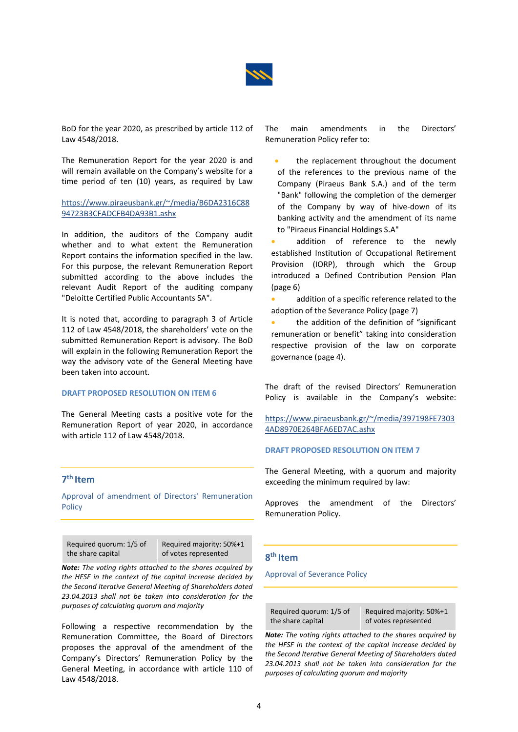

BoD for the year 2020, as prescribed by article 112 of Law 4548/2018.

The Remuneration Report for the year 2020 is and will remain available on the Company's website for a time period of ten (10) years, as required by Law

### [https://www.piraeusbank.gr/~/media/B6DA2316C88](https://www.piraeusbank.gr/~/media/B6DA2316C8894723B3CFADCFB4DA93B1.ashx) 94723B3CFADCFB4DA93B1.ashx

In addition, the auditors of the Company audit whether and to what extent the Remuneration Report contains the information specified in the law. For this purpose, the relevant Remuneration Report submitted according to the above includes the relevant Audit Report of the auditing company "Deloitte Certified Public Accountants SA".

It is noted that, according to paragraph 3 of Article 112 of Law 4548/2018, the shareholders' vote on the submitted Remuneration Report is advisory. The BoD will explain in the following Remuneration Report the way the advisory vote of the General Meeting have been taken into account.

### **DRAFT PROPOSED RESOLUTION ON ITEM 6**

The General Meeting casts a positive vote for the Remuneration Report of year 2020, in accordance with article 112 of Law 4548/2018.

# **7 th Item**

Approval of amendment of Directors' Remuneration Policy

| Required quorum: 1/5 of | Required majority: 50%+1 |
|-------------------------|--------------------------|
| the share capital       | of votes represented     |

*Note: The voting rights attached to the shares acquired by the HFSF in the context of the capital increase decided by the Second Iterative General Meeting of Shareholders dated 23.04.2013 shall not be taken into consideration for the purposes of calculating quorum and majority*

Following a respective recommendation by the Remuneration Committee, the Board of Directors proposes the approval of the amendment of the Company's Directors' Remuneration Policy by the General Meeting, in accordance with article 110 of Law 4548/2018.

The main amendments in the Directors' Remuneration Policy refer to:

 the replacement throughout the document of the references to the previous name of the Company (Piraeus Bank S.A.) and of the term "Bank" following the completion of the demerger of the Company by way of hive-down of its banking activity and the amendment of its name to "Piraeus Financial Holdings S.A"

 addition of reference to the newly established Institution of Occupational Retirement Provision (IORP), through which the Group introduced a Defined Contribution Pension Plan (page 6)

 addition of a specific reference related to the adoption of the Severance Policy (page 7)

 the addition of the definition of "significant remuneration or benefit" taking into consideration respective provision of the law on corporate governance (page 4).

The draft of the revised Directors' Remuneration Policy is available in the Company's website:

[https://www.piraeusbank.gr/~/media/397198FE7303](https://www.piraeusbank.gr/~/media/397198FE73034AD8970E264BFA6ED7AC.ashx) 4AD8970E264BFA6ED7AC.ashx

#### **DRAFT PROPOSED RESOLUTION ON ITEM 7**

The General Meeting, with a quorum and majority exceeding the minimum required by law:

Approves the amendment of the Directors' Remuneration Policy.

# **8 th Item**

Approval of Severance Policy

Required quorum: 1/5 of the share capital

Required majority: 50%+1 of votes represented

*Note: The voting rights attached to the shares acquired by the HFSF in the context of the capital increase decided by the Second Iterative General Meeting of Shareholders dated 23.04.2013 shall not be taken into consideration for the purposes of calculating quorum and majority*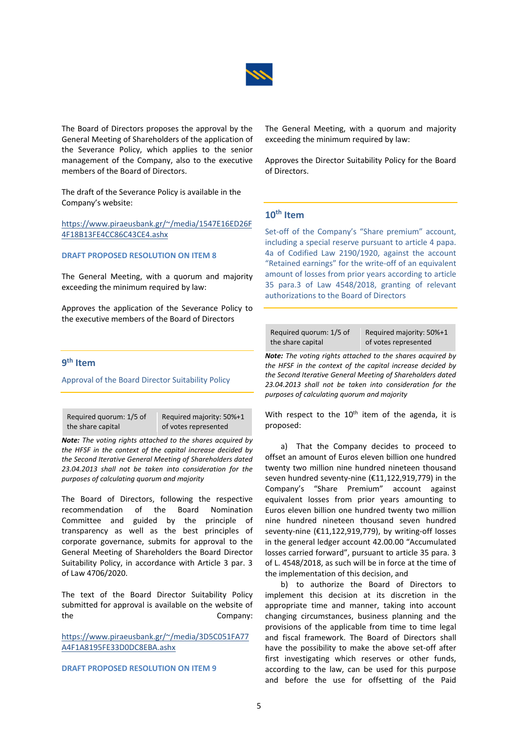

The Board of Directors proposes the approval by the General Meeting of Shareholders of the application of the Severance Policy, which applies to the senior management of the Company, also to the executive members of the Board of Directors.

The draft of the Severance Policy is available in the Company's website:

[https://www.piraeusbank.gr/~/media/1547E16ED26F](https://www.piraeusbank.gr/~/media/1547E16ED26F4F18B13FE4CC86C43CE4.ashx) 4F18B13FE4CC86C43CE4.ashx

#### **DRAFT PROPOSED RESOLUTION ON ITEM 8**

The General Meeting, with a quorum and majority exceeding the minimum required by law:

Approves the application of the Severance Policy to the executive members of the Board of Directors

# **9 th Item**

### Approval of the Board Director Suitability Policy

Required quorum: 1/5 of the share capital Required majority: 50%+1 of votes represented

*Note: The voting rights attached to the shares acquired by the HFSF in the context of the capital increase decided by the Second Iterative General Meeting of Shareholders dated 23.04.2013 shall not be taken into consideration for the purposes of calculating quorum and majority*

The Board of Directors, following the respective recommendation of the Board Nomination Committee and guided by the principle of transparency as well as the best principles of corporate governance, submits for approval to the General Meeting of Shareholders the Board Director Suitability Policy, in accordance with Article 3 par. 3 of Law 4706/2020.

The text of the Board Director Suitability Policy submitted for approval is available on the website of the Company:

[https://www.piraeusbank.gr/~/media/3D5C051FA77](https://www.piraeusbank.gr/~/media/3D5C051FA77A4F1A8195FE33D0DC8EBA.ashx) A4F1A8195FE33D0DC8EBA.ashx

#### **DRAFT PROPOSED RESOLUTION ON ITEM 9**

The General Meeting, with a quorum and majority exceeding the minimum required by law:

Approves the Director Suitability Policy for the Board of Directors.

# **10th Item**

Set-off of the Company's "Share premium" account, including a special reserve pursuant to article 4 papa. 4a of Codified Law 2190/1920, against the account "Retained earnings" for the write-off of an equivalent amount of losses from prior years according to article 35 para.3 of Law 4548/2018, granting of relevant authorizations to the Board of Directors

| Required quorum: 1/5 of | Required majority: 50%+1 |
|-------------------------|--------------------------|
| the share capital       | of votes represented     |

*Note: The voting rights attached to the shares acquired by the HFSF in the context of the capital increase decided by the Second Iterative General Meeting of Shareholders dated 23.04.2013 shall not be taken into consideration for the purposes of calculating quorum and majority*

With respect to the  $10^{th}$  item of the agenda, it is proposed:

a) That the Company decides to proceed to offset an amount of Euros eleven billion one hundred twenty two million nine hundred nineteen thousand seven hundred seventy-nine (€11,122,919,779) in the Company's "Share Premium" account against equivalent losses from prior years amounting to Euros eleven billion one hundred twenty two million nine hundred nineteen thousand seven hundred seventy-nine (€11,122,919,779), by writing-off losses in the general ledger account 42.00.00 "Accumulated losses carried forward", pursuant to article 35 para. 3 of L. 4548/2018, as such will be in force at the time of the implementation of this decision, and

b) to authorize the Board of Directors to implement this decision at its discretion in the appropriate time and manner, taking into account changing circumstances, business planning and the provisions of the applicable from time to time legal and fiscal framework. The Board of Directors shall have the possibility to make the above set-off after first investigating which reserves or other funds, according to the law, can be used for this purpose and before the use for offsetting of the Paid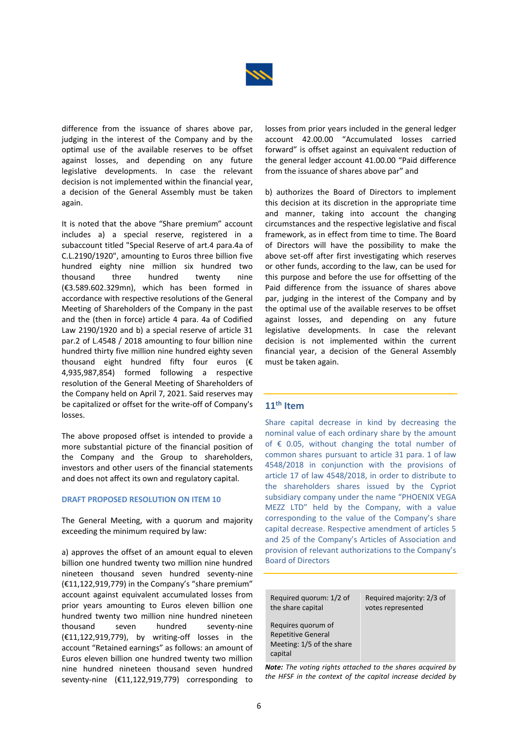

difference from the issuance of shares above par, judging in the interest of the Company and by the optimal use of the available reserves to be offset against losses, and depending on any future legislative developments. In case the relevant decision is not implemented within the financial year, a decision of the General Assembly must be taken again.

It is noted that the above "Share premium" account includes a) a special reserve, registered in a subaccount titled "Special Reserve of art.4 para.4a of C.L.2190/1920", amounting to Euros three billion five hundred eighty nine million six hundred two thousand three hundred twenty nine (€3.589.602.329mn), which has been formed in accordance with respective resolutions of the General Meeting of Shareholders of the Company in the past and the (then in force) article 4 para. 4a of Codified Law 2190/1920 and b) a special reserve of article 31 par.2 of L.4548 / 2018 amounting to four billion nine hundred thirty five million nine hundred eighty seven thousand eight hundred fifty four euros (€ 4,935,987,854) formed following a respective resolution of the General Meeting of Shareholders of the Company held on April 7, 2021. Said reserves may be capitalized or offset for the write-off of Company's losses.

The above proposed offset is intended to provide a more substantial picture of the financial position of the Company and the Group to shareholders, investors and other users of the financial statements and does not affect its own and regulatory capital.

#### **DRAFT PROPOSED RESOLUTION ON ITEM 10**

The General Meeting, with a quorum and majority exceeding the minimum required by law:

a) approves the offset of an amount equal to eleven billion one hundred twenty two million nine hundred nineteen thousand seven hundred seventy-nine (€11,122,919,779) in the Company's "share premium" account against equivalent accumulated losses from prior years amounting to Euros eleven billion one hundred twenty two million nine hundred nineteen thousand seven hundred seventy-nine (€11,122,919,779), by writing-off losses in the account "Retained earnings" as follows: an amount of Euros eleven billion one hundred twenty two million nine hundred nineteen thousand seven hundred seventy-nine (€11,122,919,779) corresponding to losses from prior years included in the general ledger account 42.00.00 "Accumulated losses carried forward" is offset against an equivalent reduction of the general ledger account 41.00.00 "Paid difference from the issuance of shares above par" and

b) authorizes the Board of Directors to implement this decision at its discretion in the appropriate time and manner, taking into account the changing circumstances and the respective legislative and fiscal framework, as in effect from time to time. The Board of Directors will have the possibility to make the above set-off after first investigating which reserves or other funds, according to the law, can be used for this purpose and before the use for offsetting of the Paid difference from the issuance of shares above par, judging in the interest of the Company and by the optimal use of the available reserves to be offset against losses, and depending on any future legislative developments. In case the relevant decision is not implemented within the current financial year, a decision of the General Assembly must be taken again.

### **11th Item**

Share capital decrease in kind by decreasing the nominal value of each ordinary share by the amount of  $\epsilon$  0.05, without changing the total number of common shares pursuant to article 31 para. 1 of law 4548/2018 in conjunction with the provisions of article 17 of law 4548/2018, in order to distribute to the shareholders shares issued by the Cypriot subsidiary company under the name "PHOENIX VEGA MEZZ LTD" held by the Company, with a value corresponding to the value of the Company's share capital decrease. Respective amendment of articles 5 and 25 of the Company's Articles of Association and provision of relevant authorizations to the Company's Board of Directors

| Required quorum: 1/2 of<br>the share capital                                            | Required majority: 2/3 of<br>votes represented |
|-----------------------------------------------------------------------------------------|------------------------------------------------|
| Requires quorum of<br><b>Repetitive General</b><br>Meeting: 1/5 of the share<br>capital |                                                |
| Nate: The voting rights attached to the shares asquired by                              |                                                |

*Note: The voting rights attached to the shares acquired by the HFSF in the context of the capital increase decided by*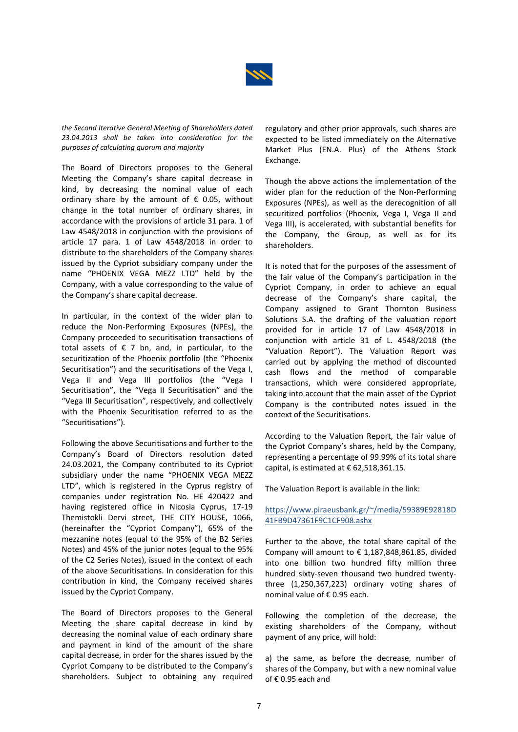

*the Second Iterative General Meeting of Shareholders dated 23.04.2013 shall be taken into consideration for the purposes of calculating quorum and majority*

The Board of Directors proposes to the General Meeting the Company's share capital decrease in kind, by decreasing the nominal value of each ordinary share by the amount of  $\epsilon$  0.05, without change in the total number of ordinary shares, in accordance with the provisions of article 31 para. 1 of Law 4548/2018 in conjunction with the provisions of article 17 para. 1 of Law 4548/2018 in order to distribute to the shareholders of the Company shares issued by the Cypriot subsidiary company under the name "PHOENIX VEGA MEZZ LTD" held by the Company, with a value corresponding to the value of the Company's share capital decrease.

In particular, in the context of the wider plan to reduce the Non-Performing Exposures (NPEs), the Company proceeded to securitisation transactions of total assets of  $\epsilon$  7 bn, and, in particular, to the securitization of the Phoenix portfolio (the "Phoenix Securitisation") and the securitisations of the Vega I, Vega II and Vega III portfolios (the "Vega I Securitisation", the "Vega II Securitisation" and the "Vega III Securitisation", respectively, and collectively with the Phoenix Securitisation referred to as the "Securitisations").

Following the above Securitisations and further to the Company's Board of Directors resolution dated 24.03.2021, the Company contributed to its Cypriot subsidiary under the name "PHOENIX VEGA MEZZ LTD", which is registered in the Cyprus registry of companies under registration No. ΗΕ 420422 and having registered office in Nicosia Cyprus, 17-19 Themistokli Dervi street, THE CITY HOUSE, 1066, (hereinafter the "Cypriot Company"), 65% of the mezzanine notes (equal to the 95% of the B2 Series Notes) and 45% of the junior notes (equal to the 95% of the C2 Series Notes), issued in the context of each of the above Securitisations. In consideration for this contribution in kind, the Company received shares issued by the Cypriot Company.

The Board of Directors proposes to the General Meeting the share capital decrease in kind by decreasing the nominal value of each ordinary share and payment in kind of the amount of the share capital decrease, in order for the shares issued by the Cypriot Company to be distributed to the Company's shareholders. Subject to obtaining any required regulatory and other prior approvals, such shares are expected to be listed immediately on the Alternative Market Plus (EN.A. Plus) of the Athens Stock Exchange.

Though the above actions the implementation of the wider plan for the reduction of the Non-Performing Exposures (NPEs), as well as the derecognition of all securitized portfolios (Phoenix, Vega I, Vega II and Vega III), is accelerated, with substantial benefits for the Company, the Group, as well as for its shareholders.

It is noted that for the purposes of the assessment of the fair value of the Company's participation in the Cypriot Company, in order to achieve an equal decrease of the Company's share capital, the Company assigned to Grant Thornton Business Solutions S.A. the drafting of the valuation report provided for in article 17 of Law 4548/2018 in conjunction with article 31 of L. 4548/2018 (the "Valuation Report"). The Valuation Report was carried out by applying the method of discounted cash flows and the method of comparable transactions, which were considered appropriate, taking into account that the main asset of the Cypriot Company is the contributed notes issued in the context of the Securitisations.

According to the Valuation Report, the fair value of the Cypriot Company's shares, held by the Company, representing a percentage of 99.99% of its total share capital, is estimated at  $\epsilon$  62,518,361.15.

The Valuation Report is available in the link:

### [https://www.piraeusbank.gr/~/media/59389E92818D](https://www.piraeusbank.gr/~/media/59389E92818D41FB9D47361F9C1CF908.ashx) 41FB9D47361F9C1CF908.ashx

Further to the above, the total share capital of the Company will amount to  $\epsilon$  1,187,848,861.85, divided into one billion two hundred fifty million three hundred sixty-seven thousand two hundred twentythree (1,250,367,223) ordinary voting shares of nominal value of € 0.95 each.

Following the completion of the decrease, the existing shareholders of the Company, without payment of any price, will hold:

a) the same, as before the decrease, number of shares of the Company, but with a new nominal value of € 0.95 each and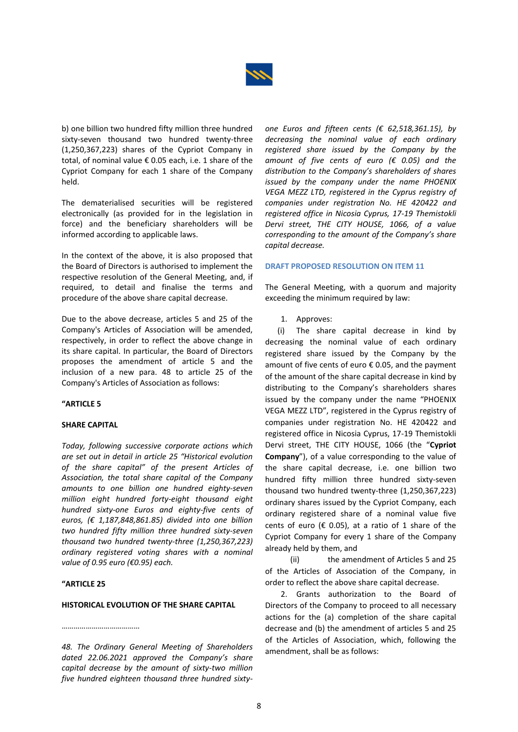

b) one billion two hundred fifty million three hundred sixty-seven thousand two hundred twenty-three (1,250,367,223) shares of the Cypriot Company in total, of nominal value € 0.05 each, i.e. 1 share of the Cypriot Company for each 1 share of the Company held.

The dematerialised securities will be registered electronically (as provided for in the legislation in force) and the beneficiary shareholders will be informed according to applicable laws.

In the context of the above, it is also proposed that the Board of Directors is authorised to implement the respective resolution of the General Meeting, and, if required, to detail and finalise the terms and procedure of the above share capital decrease.

Due to the above decrease, articles 5 and 25 of the Company's Articles of Association will be amended, respectively, in order to reflect the above change in its share capital. In particular, the Board of Directors proposes the amendment of article 5 and the inclusion of a new para. 48 to article 25 of the Company's Articles of Association as follows:

### **"ARTICLE 5**

#### **SHARE CAPITAL**

*Today, following successive corporate actions which are set out in detail in article 25 "Historical evolution of the share capital" of the present Articles of Association, the total share capital of the Company amounts to one billion one hundred eighty-seven million eight hundred forty-eight thousand eight hundred sixty-one Euros and eighty-five cents of euros, (€ 1,187,848,861.85) divided into one billion two hundred fifty million three hundred sixty-seven thousand two hundred twenty-three (1,250,367,223) ordinary registered voting shares with a nominal value of 0.95 euro (€0.95) each.*

#### **"ARTICLE 25**

…………………………………

#### **HISTORICAL EVOLUTION OF THE SHARE CAPITAL**

*48. The Ordinary General Meeting of Shareholders dated 22.06.2021 approved the Company's share capital decrease by the amount of sixty-two million five hundred eighteen thousand three hundred sixty-* *one Euros and fifteen cents (€ 62,518,361.15), by decreasing the nominal value of each ordinary registered share issued by the Company by the amount of five cents of euro (€ 0.05) and the distribution to the Company's shareholders of shares issued by the company under the name PHOENIX VEGA MEZZ LTD, registered in the Cyprus registry of companies under registration No. ΗΕ 420422 and registered office in Nicosia Cyprus, 17-19 Themistokli Dervi street, THE CITY HOUSE, 1066, of a value corresponding to the amount of the Company's share capital decrease.* 

#### **DRAFT PROPOSED RESOLUTION ON ITEM 11**

The General Meeting, with a quorum and majority exceeding the minimum required by law:

1. Approves:

(i) The share capital decrease in kind by decreasing the nominal value of each ordinary registered share issued by the Company by the amount of five cents of euro  $\epsilon$  0.05, and the payment of the amount of the share capital decrease in kind by distributing to the Company's shareholders shares issued by the company under the name "PHOENIX VEGA MEZZ LTD", registered in the Cyprus registry of companies under registration No. ΗΕ 420422 and registered office in Nicosia Cyprus, 17-19 Themistokli Dervi street, THE CITY HOUSE, 1066 (the "**Cypriot Company**"), of a value corresponding to the value of the share capital decrease, i.e. one billion two hundred fifty million three hundred sixty-seven thousand two hundred twenty-three (1,250,367,223) ordinary shares issued by the Cypriot Company, each ordinary registered share of a nominal value five cents of euro ( $\epsilon$  0.05), at a ratio of 1 share of the Cypriot Company for every 1 share of the Company already held by them, and

(ii) the amendment of Articles 5 and 25 of the Articles of Association of the Company, in order to reflect the above share capital decrease.

2. Grants authorization to the Board of Directors of the Company to proceed to all necessary actions for the (a) completion of the share capital decrease and (b) the amendment of articles 5 and 25 of the Articles of Association, which, following the amendment, shall be as follows: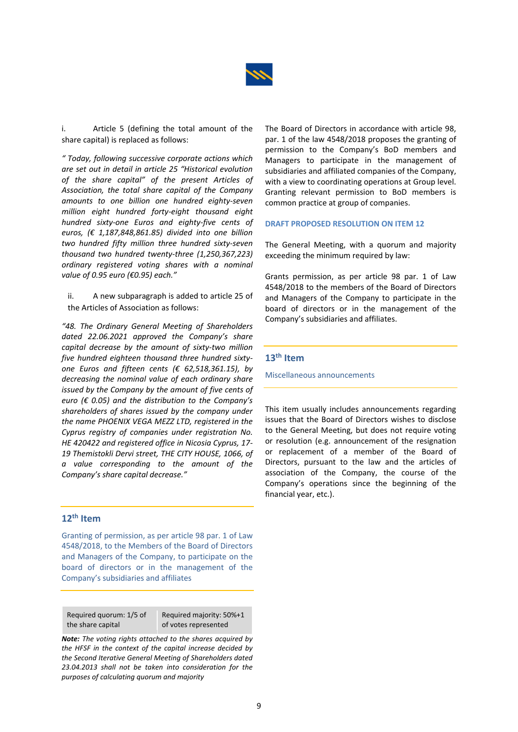

i. Article 5 (defining the total amount of the share capital) is replaced as follows:

*" Today, following successive corporate actions which are set out in detail in article 25 "Historical evolution of the share capital" of the present Articles of Association, the total share capital of the Company amounts to one billion one hundred eighty-seven million eight hundred forty-eight thousand eight hundred sixty-one Euros and eighty-five cents of euros, (€ 1,187,848,861.85) divided into one billion two hundred fifty million three hundred sixty-seven thousand two hundred twenty-three (1,250,367,223) ordinary registered voting shares with a nominal value of 0.95 euro (€0.95) each."*

ii. A new subparagraph is added to article 25 of the Articles of Association as follows:

*"48. The Ordinary General Meeting of Shareholders dated 22.06.2021 approved the Company's share capital decrease by the amount of sixty-two million five hundred eighteen thousand three hundred sixtyone Euros and fifteen cents (€ 62,518,361.15), by decreasing the nominal value of each ordinary share issued by the Company by the amount of five cents of euro (€ 0.05) and the distribution to the Company's shareholders of shares issued by the company under the name PHOENIX VEGA MEZZ LTD, registered in the Cyprus registry of companies under registration No. ΗΕ 420422 and registered office in Nicosia Cyprus, 17- 19 Themistokli Dervi street, THE CITY HOUSE, 1066, of a value corresponding to the amount of the Company's share capital decrease."*

### **12th Item**

Granting of permission, as per article 98 par. 1 of Law 4548/2018, to the Members of the Board of Directors and Managers of the Company, to participate on the board of directors or in the management of the Company's subsidiaries and affiliates

Required quorum: 1/5 of the share capital Required majority: 50%+1 of votes represented

*Note: The voting rights attached to the shares acquired by the HFSF in the context of the capital increase decided by the Second Iterative General Meeting of Shareholders dated 23.04.2013 shall not be taken into consideration for the purposes of calculating quorum and majority*

The Board of Directors in accordance with article 98, par. 1 of the law 4548/2018 proposes the granting of permission to the Company's BoD members and Managers to participate in the management of subsidiaries and affiliated companies of the Company, with a view to coordinating operations at Group level. Granting relevant permission to BoD members is common practice at group of companies.

#### **DRAFT PROPOSED RESOLUTION ON ITEM 12**

The General Meeting, with a quorum and majority exceeding the minimum required by law:

Grants permission, as per article 98 par. 1 of Law 4548/2018 to the members of the Board of Directors and Managers of the Company to participate in the board of directors or in the management of the Company's subsidiaries and affiliates.

# **13 th Item**

Miscellaneous announcements

This item usually includes announcements regarding issues that the Board of Directors wishes to disclose to the General Meeting, but does not require voting or resolution (e.g. announcement of the resignation or replacement of a member of the Board of Directors, pursuant to the law and the articles of association of the Company, the course of the Company's operations since the beginning of the financial year, etc.).